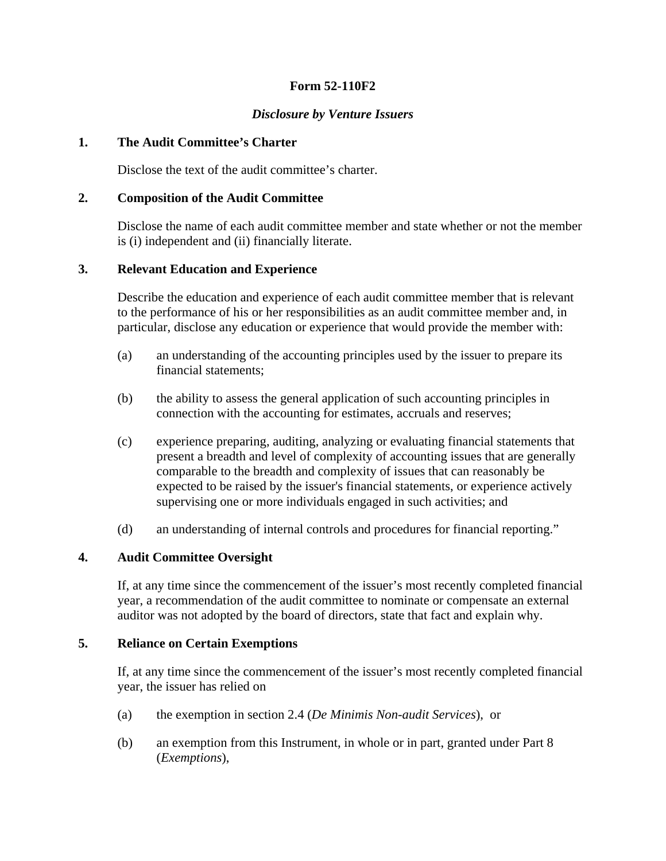# **Form 52-110F2**

# *Disclosure by Venture Issuers*

### **1. The Audit Committee's Charter**

Disclose the text of the audit committee's charter.

### **2. Composition of the Audit Committee**

Disclose the name of each audit committee member and state whether or not the member is (i) independent and (ii) financially literate.

## **3. Relevant Education and Experience**

Describe the education and experience of each audit committee member that is relevant to the performance of his or her responsibilities as an audit committee member and, in particular, disclose any education or experience that would provide the member with:

- (a) an understanding of the accounting principles used by the issuer to prepare its financial statements;
- (b) the ability to assess the general application of such accounting principles in connection with the accounting for estimates, accruals and reserves;
- (c) experience preparing, auditing, analyzing or evaluating financial statements that present a breadth and level of complexity of accounting issues that are generally comparable to the breadth and complexity of issues that can reasonably be expected to be raised by the issuer's financial statements, or experience actively supervising one or more individuals engaged in such activities; and
- (d) an understanding of internal controls and procedures for financial reporting."

#### **4. Audit Committee Oversight**

If, at any time since the commencement of the issuer's most recently completed financial year, a recommendation of the audit committee to nominate or compensate an external auditor was not adopted by the board of directors, state that fact and explain why.

#### **5. Reliance on Certain Exemptions**

If, at any time since the commencement of the issuer's most recently completed financial year, the issuer has relied on

- (a) the exemption in section 2.4 (*De Minimis Non-audit Services*), or
- (b) an exemption from this Instrument, in whole or in part, granted under Part 8 (*Exemptions*),